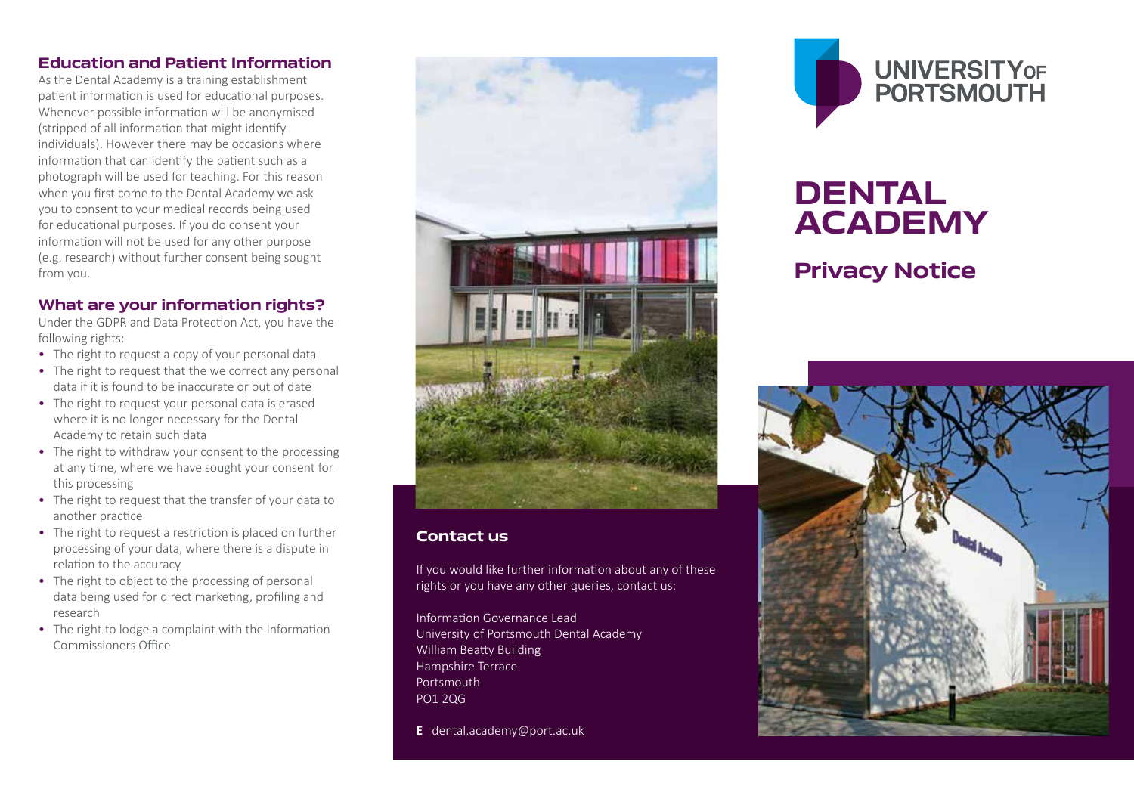# **Education and Patient Information**

As the Dental Academy is a training establishment patient information is used for educational purposes. Whenever possible information will be anonymised (stripped of all information that might identify individuals). However there may be occasions where information that can identify the patient such as a photograph will be used for teaching. For this reason when you first come to the Dental Academy we ask you to consent to your medical records being used for educational purposes. If you do consent your information will not be used for any other purpose (e.g. research) without further consent being sought from you.

# **What are your information rights?**

Under the GDPR and Data Protection Act, you have the following rights:

- The right to request a copy of your personal data
- The right to request that the we correct any personal data if it is found to be inaccurate or out of date
- The right to request your personal data is erased where it is no longer necessary for the Dental Academy to retain such data
- The right to withdraw your consent to the processing at any time, where we have sought your consent for this processing
- The right to request that the transfer of your data to another practice
- The right to request a restriction is placed on further processing of your data, where there is a dispute in relation to the accuracy
- The right to object to the processing of personal data being used for direct marketing, profiling and research
- The right to lodge a complaint with the Information Commissioners Office



### **Contact us**

If you would like further information about any of these rights or you have any other queries, contact us:

Information Governance Lead University of Portsmouth Dental Academy William Beatty Building Hampshire Terrace Portsmouth PO1 2QG

**E** dental.academy@port.ac.uk



# **DENTAL ACADEMY**

# **Privacy Notice**